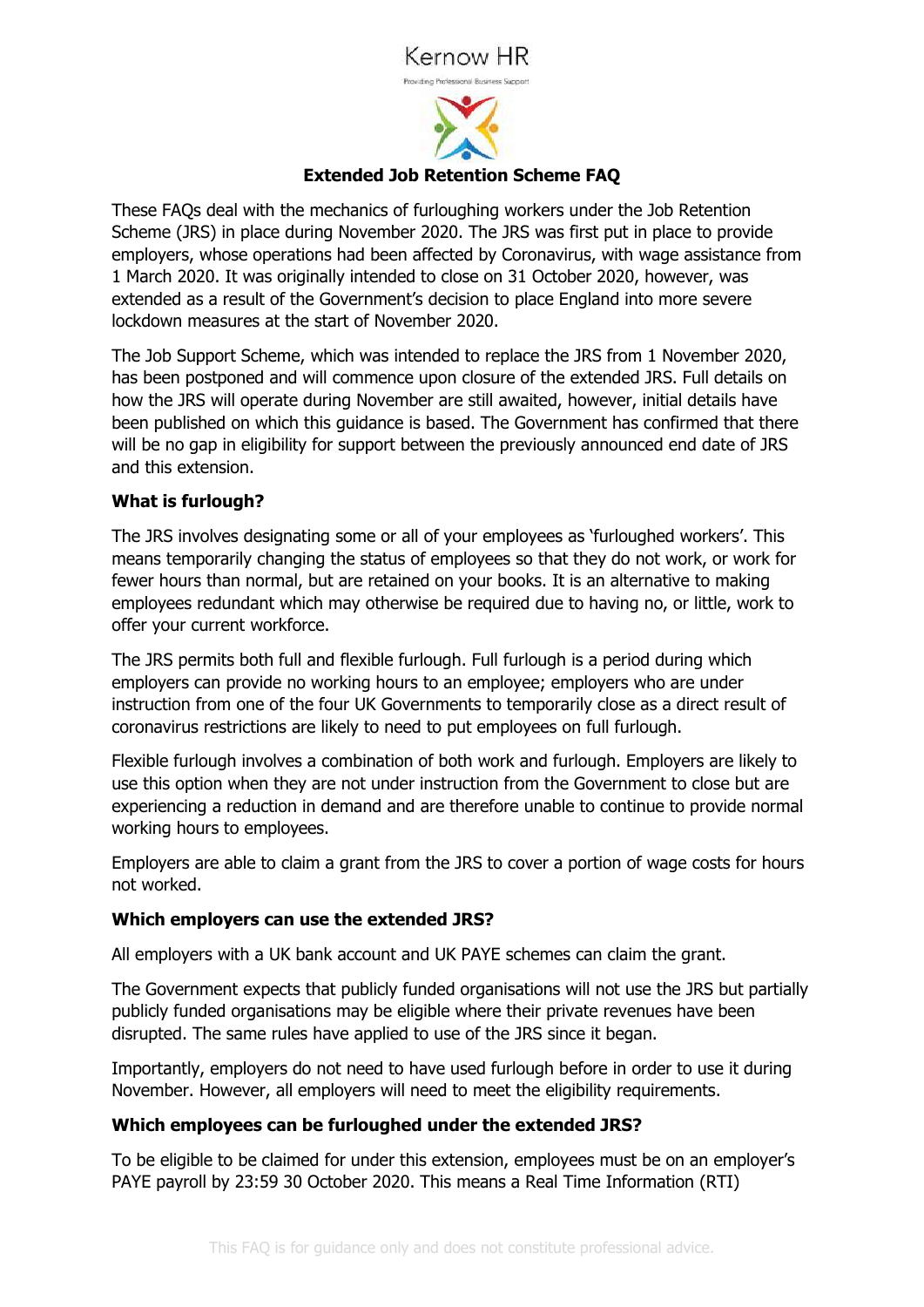# Kernow HR



# **Extended Job Retention Scheme FAQ**

These FAQs deal with the mechanics of furloughing workers under the Job Retention Scheme (JRS) in place during November 2020. The JRS was first put in place to provide employers, whose operations had been affected by Coronavirus, with wage assistance from 1 March 2020. It was originally intended to close on 31 October 2020, however, was extended as a result of the Government's decision to place England into more severe lockdown measures at the start of November 2020.

The Job Support Scheme, which was intended to replace the JRS from 1 November 2020, has been postponed and will commence upon closure of the extended JRS. Full details on how the JRS will operate during November are still awaited, however, initial details have been published on which this guidance is based. The Government has confirmed that there will be no gap in eligibility for support between the previously announced end date of JRS and this extension.

## **What is furlough?**

The JRS involves designating some or all of your employees as 'furloughed workers'. This means temporarily changing the status of employees so that they do not work, or work for fewer hours than normal, but are retained on your books. It is an alternative to making employees redundant which may otherwise be required due to having no, or little, work to offer your current workforce.

The JRS permits both full and flexible furlough. Full furlough is a period during which employers can provide no working hours to an employee; employers who are under instruction from one of the four UK Governments to temporarily close as a direct result of coronavirus restrictions are likely to need to put employees on full furlough.

Flexible furlough involves a combination of both work and furlough. Employers are likely to use this option when they are not under instruction from the Government to close but are experiencing a reduction in demand and are therefore unable to continue to provide normal working hours to employees.

Employers are able to claim a grant from the JRS to cover a portion of wage costs for hours not worked.

#### **Which employers can use the extended JRS?**

All employers with a UK bank account and UK PAYE schemes can claim the grant.

The Government expects that publicly funded organisations will not use the JRS but partially publicly funded organisations may be eligible where their private revenues have been disrupted. The same rules have applied to use of the JRS since it began.

Importantly, employers do not need to have used furlough before in order to use it during November. However, all employers will need to meet the eligibility requirements.

# **Which employees can be furloughed under the extended JRS?**

To be eligible to be claimed for under this extension, employees must be on an employer's PAYE payroll by 23:59 30 October 2020. This means a Real Time Information (RTI)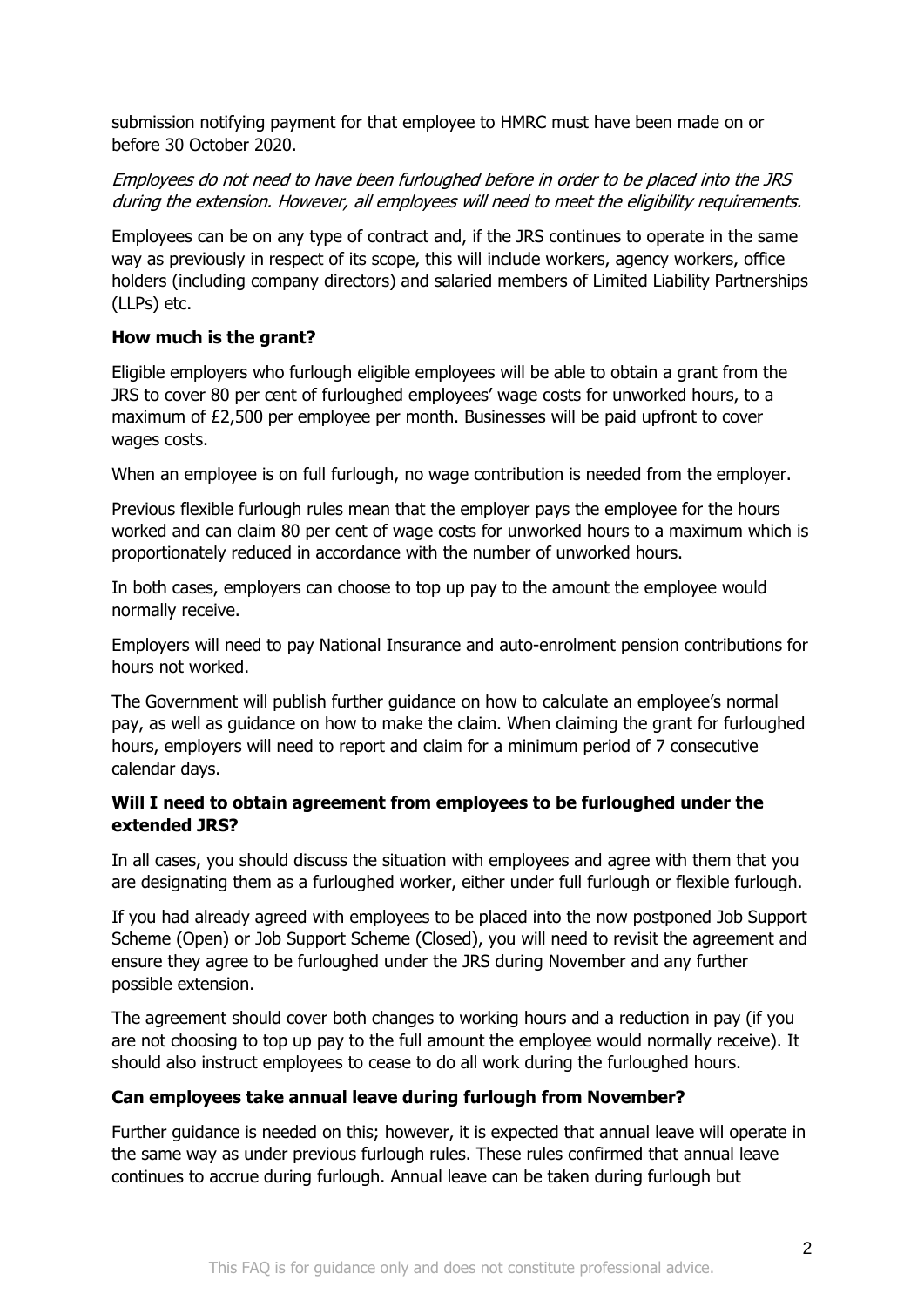submission notifying payment for that employee to HMRC must have been made on or before 30 October 2020.

# Employees do not need to have been furloughed before in order to be placed into the JRS during the extension. However, all employees will need to meet the eligibility requirements.

Employees can be on any type of contract and, if the JRS continues to operate in the same way as previously in respect of its scope, this will include workers, agency workers, office holders (including company directors) and salaried members of Limited Liability Partnerships (LLPs) etc.

## **How much is the grant?**

Eligible employers who furlough eligible employees will be able to obtain a grant from the JRS to cover 80 per cent of furloughed employees' wage costs for unworked hours, to a maximum of £2,500 per employee per month. Businesses will be paid upfront to cover wages costs.

When an employee is on full furlough, no wage contribution is needed from the employer.

Previous flexible furlough rules mean that the employer pays the employee for the hours worked and can claim 80 per cent of wage costs for unworked hours to a maximum which is proportionately reduced in accordance with the number of unworked hours.

In both cases, employers can choose to top up pay to the amount the employee would normally receive.

Employers will need to pay National Insurance and auto-enrolment pension contributions for hours not worked.

The Government will publish further guidance on how to calculate an employee's normal pay, as well as guidance on how to make the claim. When claiming the grant for furloughed hours, employers will need to report and claim for a minimum period of 7 consecutive calendar days.

## **Will I need to obtain agreement from employees to be furloughed under the extended JRS?**

In all cases, you should discuss the situation with employees and agree with them that you are designating them as a furloughed worker, either under full furlough or flexible furlough.

If you had already agreed with employees to be placed into the now postponed Job Support Scheme (Open) or Job Support Scheme (Closed), you will need to revisit the agreement and ensure they agree to be furloughed under the JRS during November and any further possible extension.

The agreement should cover both changes to working hours and a reduction in pay (if you are not choosing to top up pay to the full amount the employee would normally receive). It should also instruct employees to cease to do all work during the furloughed hours.

#### **Can employees take annual leave during furlough from November?**

Further guidance is needed on this; however, it is expected that annual leave will operate in the same way as under previous furlough rules. These rules confirmed that annual leave continues to accrue during furlough. Annual leave can be taken during furlough but